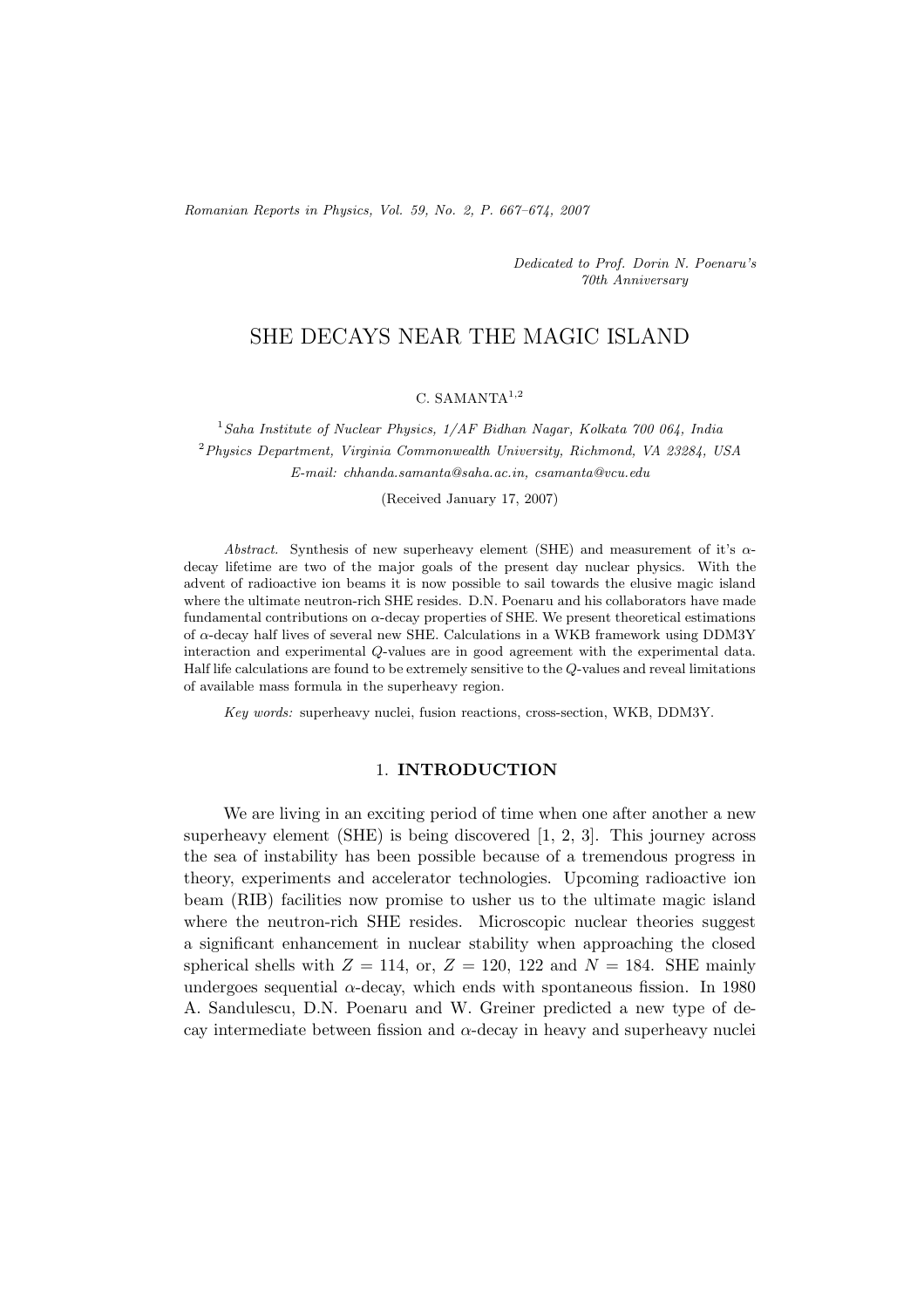*Romanian Reports in Physics, Vol. 59, No. 2, P. 667–674, 2007*

*Dedicated to Prof. Dorin N. Poenaru's 70th Anniversary*

# SHE DECAYS NEAR THE MAGIC ISLAND

## C. SAMANTA<sup>1</sup>*,*<sup>2</sup>

<sup>1</sup>*Saha Institute of Nuclear Physics, 1/AF Bidhan Nagar, Kolkata 700 064, India* <sup>2</sup>*Physics Department, Virginia Commonwealth University, Richmond, VA 23284, USA E-mail: chhanda.samanta@saha.ac.in, csamanta@vcu.edu*

(Received January 17, 2007)

*Abstract.* Synthesis of new superheavy element (SHE) and measurement of it's  $\alpha$ decay lifetime are two of the major goals of the present day nuclear physics. With the advent of radioactive ion beams it is now possible to sail towards the elusive magic island where the ultimate neutron-rich SHE resides. D.N. Poenaru and his collaborators have made fundamental contributions on  $\alpha$ -decay properties of SHE. We present theoretical estimations of α-decay half lives of several new SHE. Calculations in a WKB framework using DDM3Y interaction and experimental Q-values are in good agreement with the experimental data. Half life calculations are found to be extremely sensitive to the Q-values and reveal limitations of available mass formula in the superheavy region.

*Key words:* superheavy nuclei, fusion reactions, cross-section, WKB, DDM3Y.

## 1. **INTRODUCTION**

We are living in an exciting period of time when one after another a new superheavy element (SHE) is being discovered [1, 2, 3]. This journey across the sea of instability has been possible because of a tremendous progress in theory, experiments and accelerator technologies. Upcoming radioactive ion beam (RIB) facilities now promise to usher us to the ultimate magic island where the neutron-rich SHE resides. Microscopic nuclear theories suggest a significant enhancement in nuclear stability when approaching the closed spherical shells with  $Z = 114$ , or,  $Z = 120$ , 122 and  $N = 184$ . SHE mainly undergoes sequential  $\alpha$ -decay, which ends with spontaneous fission. In 1980 A. Sandulescu, D.N. Poenaru and W. Greiner predicted a new type of decay intermediate between fission and  $\alpha$ -decay in heavy and superheavy nuclei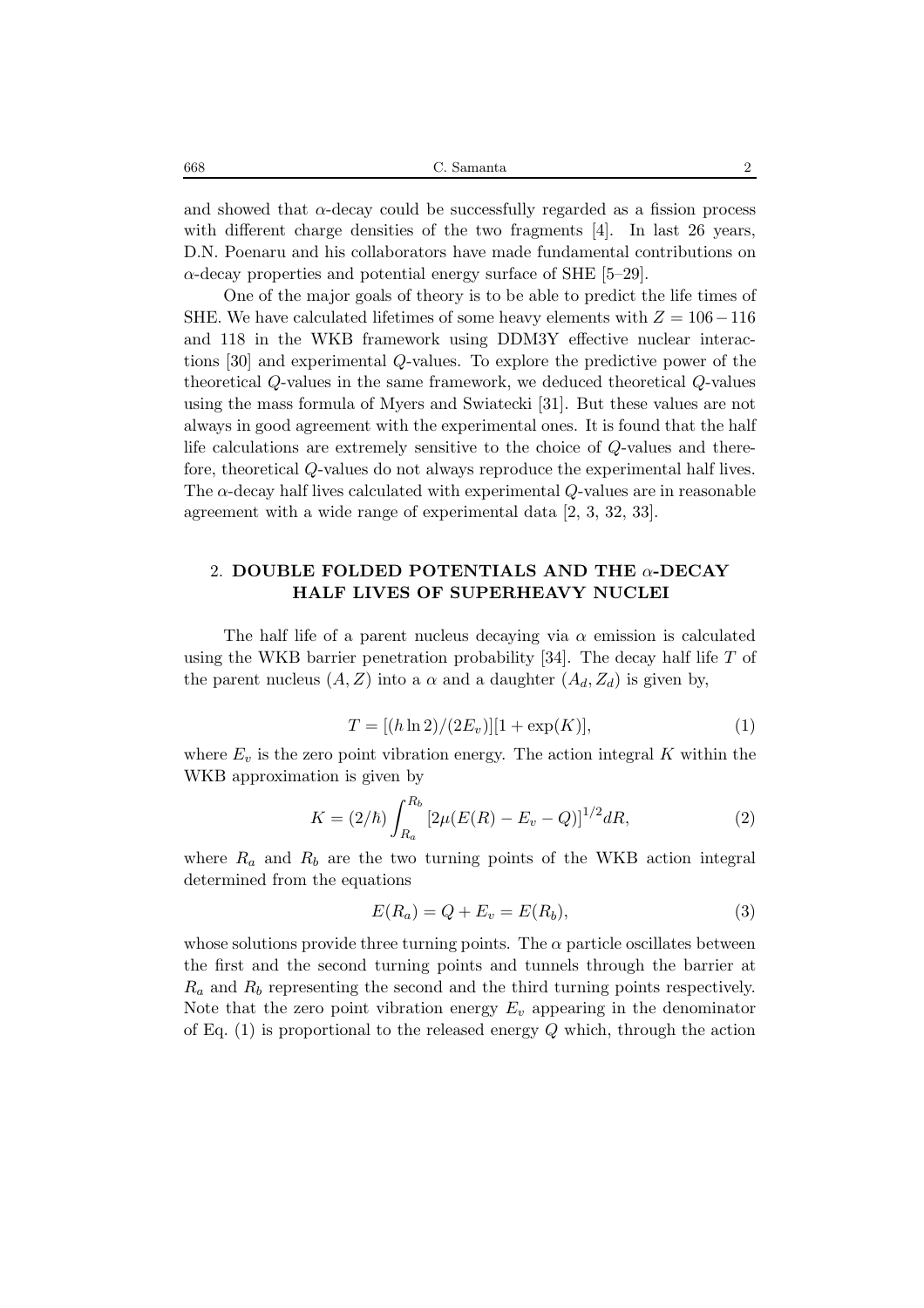| C. Samanta<br>668 |  |
|-------------------|--|
|-------------------|--|

and showed that  $\alpha$ -decay could be successfully regarded as a fission process with different charge densities of the two fragments [4]. In last 26 years, D.N. Poenaru and his collaborators have made fundamental contributions on  $\alpha$ -decay properties and potential energy surface of SHE [5–29].

One of the major goals of theory is to be able to predict the life times of SHE. We have calculated lifetimes of some heavy elements with  $Z = 106 - 116$ and 118 in the WKB framework using DDM3Y effective nuclear interactions [30] and experimental Q-values. To explore the predictive power of the theoretical Q-values in the same framework, we deduced theoretical Q-values using the mass formula of Myers and Swiatecki [31]. But these values are not always in good agreement with the experimental ones. It is found that the half life calculations are extremely sensitive to the choice of Q-values and therefore, theoretical Q-values do not always reproduce the experimental half lives. The  $\alpha$ -decay half lives calculated with experimental Q-values are in reasonable agreement with a wide range of experimental data [2, 3, 32, 33].

## 2. **DOUBLE FOLDED POTENTIALS AND THE** α**-DECAY HALF LIVES OF SUPERHEAVY NUCLEI**

The half life of a parent nucleus decaying via  $\alpha$  emission is calculated using the WKB barrier penetration probability [34]. The decay half life  $T$  of the parent nucleus  $(A, Z)$  into a  $\alpha$  and a daughter  $(A_d, Z_d)$  is given by,

$$
T = [(h \ln 2)/(2E_v)][1 + \exp(K)],\tag{1}
$$

where  $E_v$  is the zero point vibration energy. The action integral K within the WKB approximation is given by

$$
K = (2/\hbar) \int_{R_a}^{R_b} \left[ 2\mu (E(R) - E_v - Q) \right]^{1/2} dR,\tag{2}
$$

where  $R_a$  and  $R_b$  are the two turning points of the WKB action integral determined from the equations

$$
E(R_a) = Q + E_v = E(R_b),\tag{3}
$$

whose solutions provide three turning points. The  $\alpha$  particle oscillates between the first and the second turning points and tunnels through the barrier at  $R_a$  and  $R_b$  representing the second and the third turning points respectively. Note that the zero point vibration energy  $E_v$  appearing in the denominator of Eq.  $(1)$  is proportional to the released energy Q which, through the action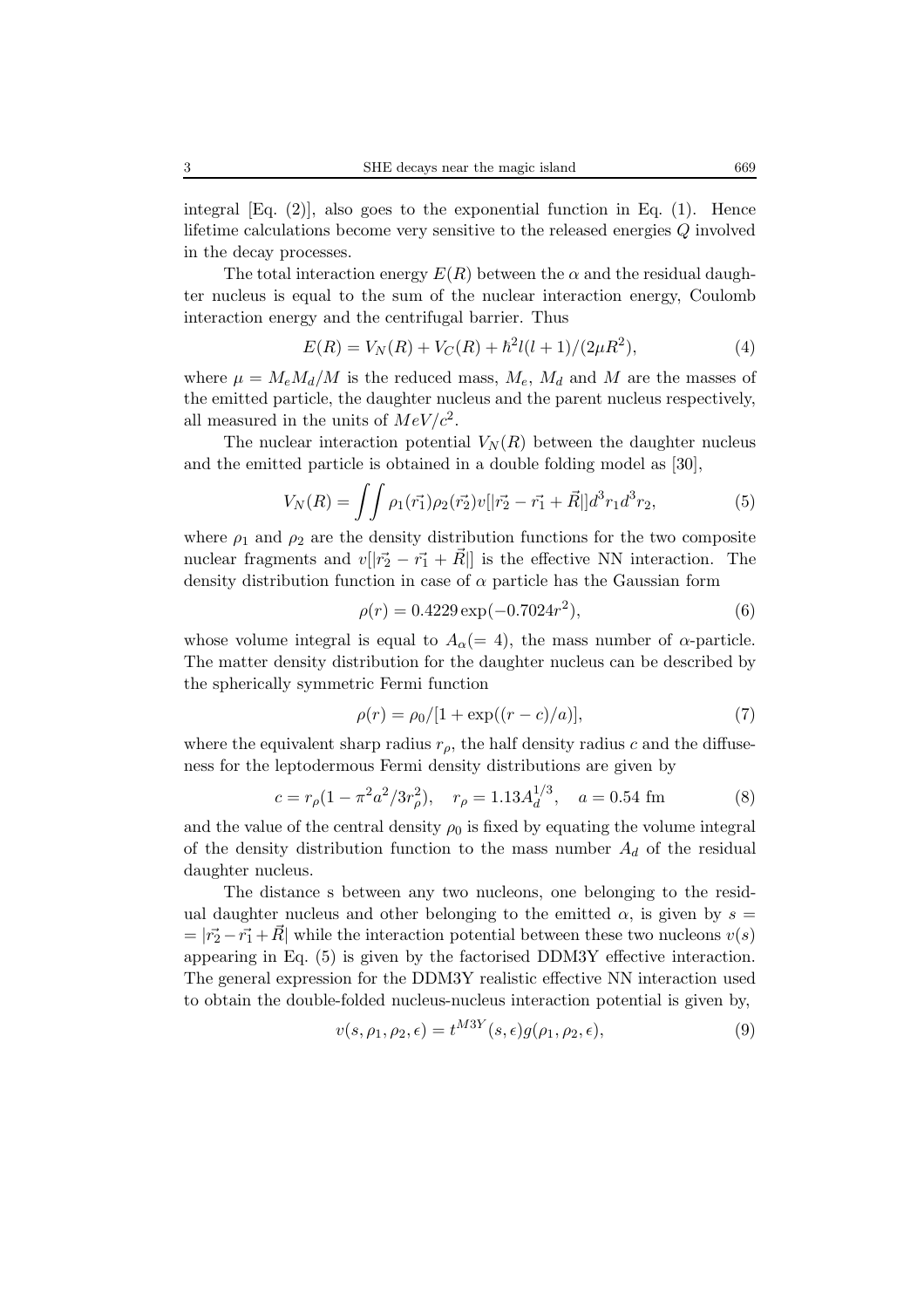integral  $[Eq. (2)]$ , also goes to the exponential function in Eq.  $(1)$ . Hence lifetime calculations become very sensitive to the released energies Q involved in the decay processes.

The total interaction energy  $E(R)$  between the  $\alpha$  and the residual daughter nucleus is equal to the sum of the nuclear interaction energy, Coulomb interaction energy and the centrifugal barrier. Thus

$$
E(R) = V_N(R) + V_C(R) + \hbar^2 l(l+1)/(2\mu R^2),
$$
\n(4)

where  $\mu = M_e M_d / M$  is the reduced mass,  $M_e$ ,  $M_d$  and M are the masses of the emitted particle, the daughter nucleus and the parent nucleus respectively, all measured in the units of  $MeV/c^2$ .

The nuclear interaction potential  $V_N(R)$  between the daughter nucleus and the emitted particle is obtained in a double folding model as [30],

$$
V_N(R) = \iint \rho_1(\vec{r_1}) \rho_2(\vec{r_2}) v[|\vec{r_2} - \vec{r_1} + \vec{R}|] d^3 r_1 d^3 r_2,\tag{5}
$$

where  $\rho_1$  and  $\rho_2$  are the density distribution functions for the two composite nuclear fragments and  $v[|\vec{r_2} - \vec{r_1} + \vec{R}|]$  is the effective NN interaction. The density distribution function in case of  $\alpha$  particle has the Gaussian form

$$
\rho(r) = 0.4229 \exp(-0.7024r^2),\tag{6}
$$

whose volume integral is equal to  $A_{\alpha} (= 4)$ , the mass number of  $\alpha$ -particle. The matter density distribution for the daughter nucleus can be described by the spherically symmetric Fermi function

$$
\rho(r) = \rho_0/[1 + \exp((r - c)/a)],\tag{7}
$$

where the equivalent sharp radius  $r<sub>o</sub>$ , the half density radius c and the diffuseness for the leptodermous Fermi density distributions are given by

$$
c = r_{\rho} (1 - \pi^2 a^2 / 3r_{\rho}^2), \quad r_{\rho} = 1.13 A_d^{1/3}, \quad a = 0.54 \text{ fm}
$$
 (8)

and the value of the central density  $\rho_0$  is fixed by equating the volume integral of the density distribution function to the mass number  $A_d$  of the residual daughter nucleus.

The distance s between any two nucleons, one belonging to the residual daughter nucleus and other belonging to the emitted  $\alpha$ , is given by  $s =$  $= |\vec{r}_2 - \vec{r}_1 + \vec{R}|$  while the interaction potential between these two nucleons  $v(s)$ appearing in Eq. (5) is given by the factorised DDM3Y effective interaction. The general expression for the DDM3Y realistic effective NN interaction used to obtain the double-folded nucleus-nucleus interaction potential is given by,

$$
v(s, \rho_1, \rho_2, \epsilon) = t^{M3Y}(s, \epsilon)g(\rho_1, \rho_2, \epsilon),
$$
\n(9)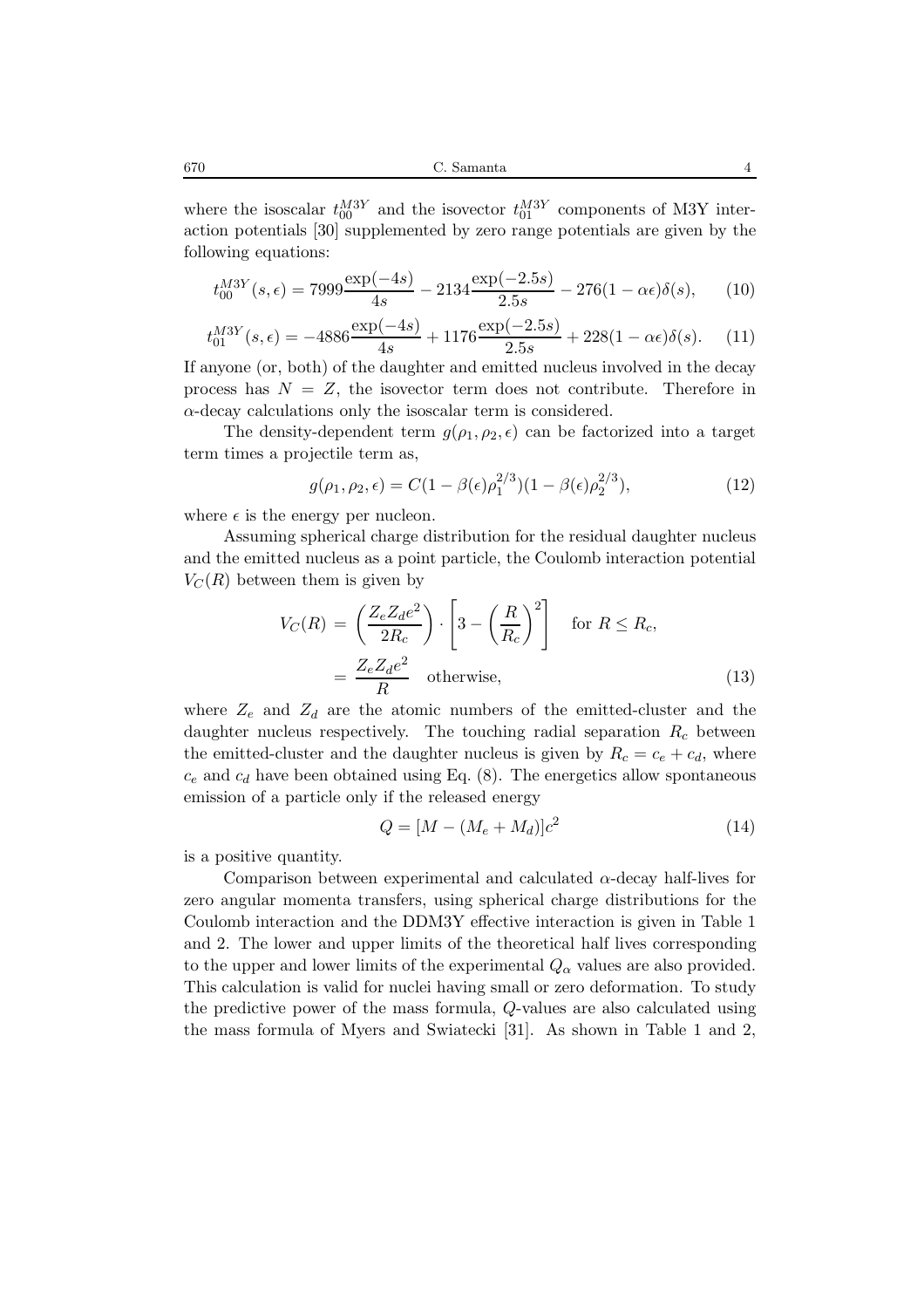670 C. Samanta 4

where the isoscalar  $t_{00}^{M3Y}$  and the isovector  $t_{01}^{M3Y}$  components of M3Y interaction potentials [30] supplemented by zero range potentials are given by the following equations:

$$
t_{00}^{M3Y}(s,\epsilon) = 7999 \frac{\exp(-4s)}{4s} - 2134 \frac{\exp(-2.5s)}{2.5s} - 276(1 - \alpha \epsilon)\delta(s), \qquad (10)
$$

$$
t_{01}^{M3Y}(s,\epsilon) = -4886 \frac{\exp(-4s)}{4s} + 1176 \frac{\exp(-2.5s)}{2.5s} + 228(1 - \alpha \epsilon)\delta(s). \tag{11}
$$

If anyone (or, both) of the daughter and emitted nucleus involved in the decay process has  $N = Z$ , the isovector term does not contribute. Therefore in  $\alpha$ -decay calculations only the isoscalar term is considered.

The density-dependent term  $g(\rho_1, \rho_2, \epsilon)$  can be factorized into a target term times a projectile term as,

$$
g(\rho_1, \rho_2, \epsilon) = C(1 - \beta(\epsilon)\rho_1^{2/3})(1 - \beta(\epsilon)\rho_2^{2/3}),
$$
\n(12)

where  $\epsilon$  is the energy per nucleon.

Assuming spherical charge distribution for the residual daughter nucleus and the emitted nucleus as a point particle, the Coulomb interaction potential  $V<sub>C</sub>(R)$  between them is given by

$$
V_C(R) = \left(\frac{Z_e Z_d e^2}{2R_c}\right) \cdot \left[3 - \left(\frac{R}{R_c}\right)^2\right] \quad \text{for } R \le R_c,
$$

$$
= \frac{Z_e Z_d e^2}{R} \quad \text{otherwise}, \tag{13}
$$

where  $Z_e$  and  $Z_d$  are the atomic numbers of the emitted-cluster and the daughter nucleus respectively. The touching radial separation  $R_c$  between the emitted-cluster and the daughter nucleus is given by  $R_c = c_e + c_d$ , where  $c_e$  and  $c_d$  have been obtained using Eq. (8). The energetics allow spontaneous emission of a particle only if the released energy

$$
Q = [M - (M_e + M_d)]c^2
$$
 (14)

is a positive quantity.

Comparison between experimental and calculated  $\alpha$ -decay half-lives for zero angular momenta transfers, using spherical charge distributions for the Coulomb interaction and the DDM3Y effective interaction is given in Table 1 and 2. The lower and upper limits of the theoretical half lives corresponding to the upper and lower limits of the experimental  $Q_{\alpha}$  values are also provided. This calculation is valid for nuclei having small or zero deformation. To study the predictive power of the mass formula, Q-values are also calculated using the mass formula of Myers and Swiatecki [31]. As shown in Table 1 and 2,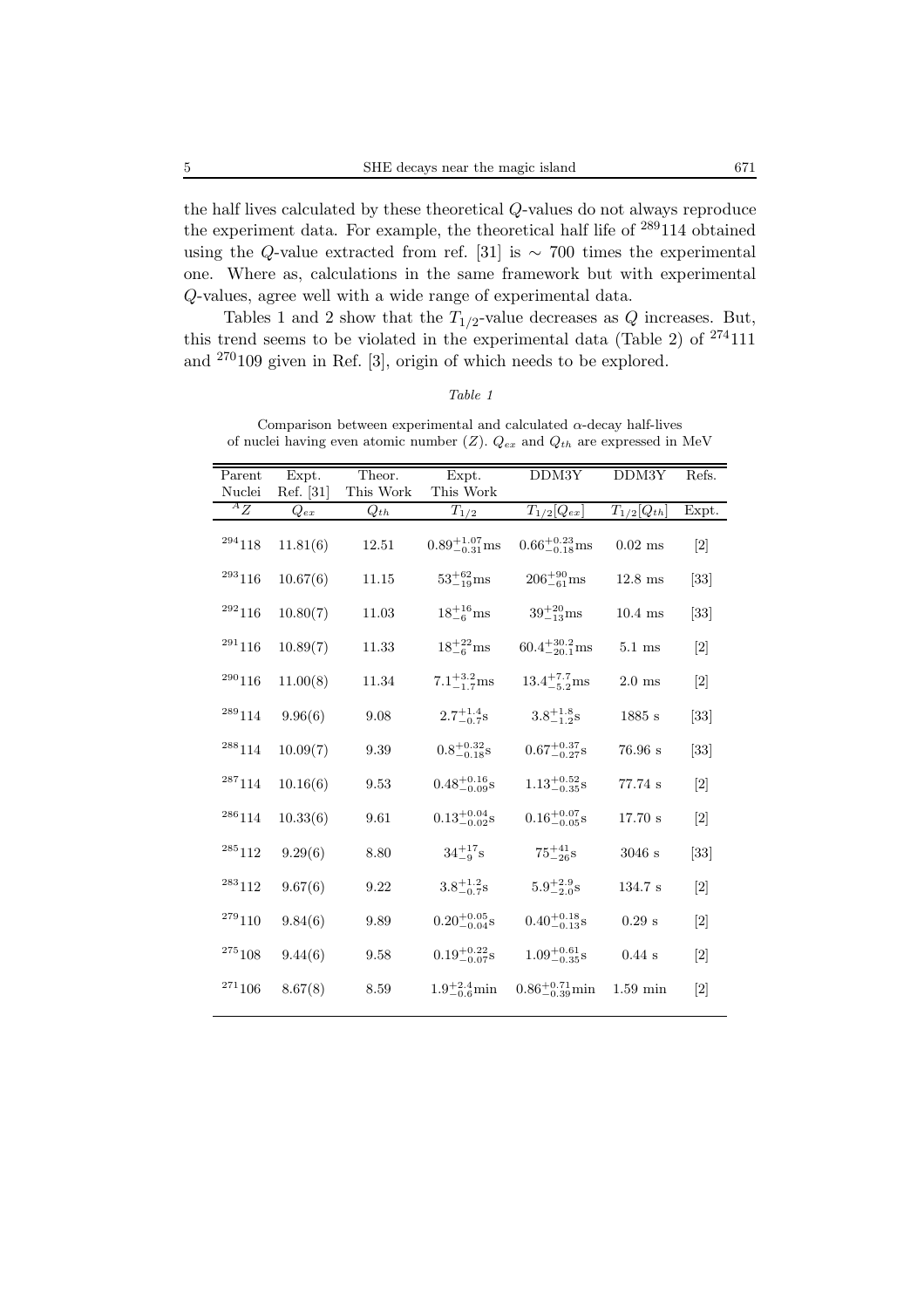the half lives calculated by these theoretical Q-values do not always reproduce the experiment data. For example, the theoretical half life of <sup>289</sup>114 obtained using the Q-value extracted from ref. [31] is  $\sim$  700 times the experimental one. Where as, calculations in the same framework but with experimental Q-values, agree well with a wide range of experimental data.

Tables 1 and 2 show that the  $T_{1/2}$ -value decreases as Q increases. But, this trend seems to be violated in the experimental data (Table 2) of  $274111$ and <sup>270</sup>109 given in Ref. [3], origin of which needs to be explored.

| Parent           | Expt.     | Theor.    | Expt.                     | DDM3Y                      | DDM3Y                        | Refs.                        |
|------------------|-----------|-----------|---------------------------|----------------------------|------------------------------|------------------------------|
| Nuclei           | Ref. [31] | This Work | This Work                 |                            |                              |                              |
| ${}^AZ$          | $Q_{ex}$  | $Q_{th}$  | $T_{1/2}$                 | $T_{1/2}[Q_{ex}]$          | $T_{1/2}[\overline{Q_{th}}]$ | Expt.                        |
| 294118           | 11.81(6)  | 12.51     | $0.89^{+1.07}_{-0.31}$ ms | $0.66^{+0.23}_{-0.18}$ ms  | $0.02$ ms                    | $[2]$                        |
| $^{293}116$      | 10.67(6)  | 11.15     | $53^{+62}_{-19}$ ms       | $206^{+90}_{-61}$ ms       | $12.8$ ms                    | $[33]$                       |
| 292116           | 10.80(7)  | 11.03     | $18^{+16}_{-6}$ ms        | $39^{+20}_{-13}$ ms        | $10.4$ ms                    | $[33]$                       |
| $^{291}116$      | 10.89(7)  | 11.33     | $18^{+22}_{-6}$ ms        | $60.4^{+30.2}_{-20.1}$ ms  | $5.1 \text{ ms}$             | $\lceil 2 \rceil$            |
| 290116           | 11.00(8)  | 11.34     | $7.1^{+3.2}_{-1.7}$ ms    | $13.4^{+7.7}_{-5.2}$ ms    | $2.0$ ms                     | $[2]$                        |
| $^{289}114$      | 9.96(6)   | 9.08      | $2.7^{+1.4}_{-0.7}$ s     | $3.8^{+1.8}_{-1.2}$ s      | 1885 s                       | $\left[33\right]$            |
| 288114           | 10.09(7)  | 9.39      | $0.8^{+0.32}_{-0.18}$ s   | $0.67^{+0.37}_{-0.27}$ s   | 76.96 s                      | $[33]$                       |
| $^{\rm 287}114$  | 10.16(6)  | 9.53      | $0.48^{+0.16}_{-0.09}$ s  | $1.13_{-0.35}^{+0.52}$ s   | 77.74 s                      | $\left\lceil 2 \right\rceil$ |
| $^{286}114$      | 10.33(6)  | 9.61      | $0.13_{-0.02}^{+0.04}$ s  | $0.16_{-0.05}^{+0.07}$ s   | $17.70$ s                    | [2]                          |
| $^{285}112$      | 9.29(6)   | 8.80      | $34^{+17}_{-9}$ s         | $75^{+41}_{-26}$ s         | 3046s                        | $\left[33\right]$            |
| 283112           | 9.67(6)   | 9.22      | $3.8^{+1.2}_{-0.78}$      | $5.9^{+2.9}_{-2.0}$ s      | 134.7 s                      | $\lceil 2 \rceil$            |
| 279110           | 9.84(6)   | 9.89      | $0.20^{+0.05}_{-0.04}$ s  | $0.40^{+0.18}_{-0.13}$ s   | $0.29$ s                     | $\lceil 2 \rceil$            |
| $^{275}108$      | 9.44(6)   | 9.58      | $0.19_{-0.07}^{+0.22}$ s  | $1.09^{+0.61}_{-0.35}$ s   | $0.44$ s                     | $\left[2\right]$             |
| $\real^{271}106$ | 8.67(8)   | 8.59      | $1.9^{+2.4}_{-0.6}$ min   | $0.86^{+0.71}_{-0.39}$ min | $1.59$ min                   | $\lceil 2 \rceil$            |
|                  |           |           |                           |                            |                              |                              |

Comparison between experimental and calculated  $\alpha$ -decay half-lives of nuclei having even atomic number (Z). Q*ex* and Q*th* are expressed in MeV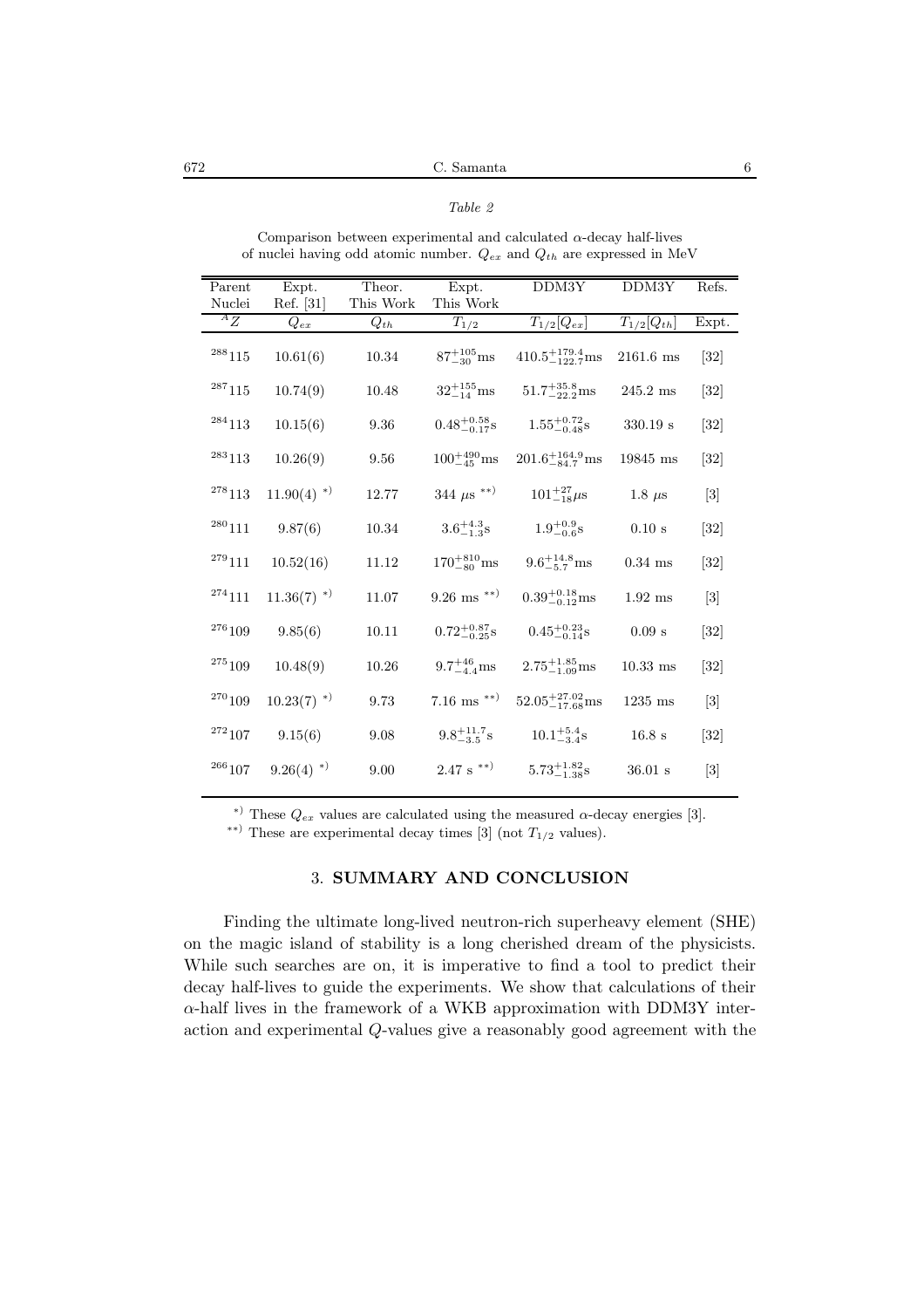672 C. Samanta 6

*Table 2*

| Comparison between experimental and calculated $\alpha$ -decay half-lives<br>of nuclei having odd atomic number. $Q_{ex}$ and $Q_{th}$ are expressed in MeV |                          |           |                           |                              |                      |                   |
|-------------------------------------------------------------------------------------------------------------------------------------------------------------|--------------------------|-----------|---------------------------|------------------------------|----------------------|-------------------|
| Parent                                                                                                                                                      | Expt.                    | Theor.    | Expt.                     | DDM3Y                        | DDM3Y                | Refs.             |
| Nuclei                                                                                                                                                      | Ref. [31]                | This Work | This Work                 |                              |                      |                   |
| ${}^AZ$                                                                                                                                                     | $Q_{ex}$                 | $Q_{th}$  | $T_{1/2}$                 | $T_{1/2}[Q_{ex}]$            | $T_{1/2}[Q_{th}]$    | Expt.             |
| $^{288}115$                                                                                                                                                 | 10.61(6)                 | 10.34     | $87^{+105}_{-30}$ ms      | $410.5^{+179.4}_{-122.7}$ ms | $2161.6$ ms          | $[32]$            |
| $^{287}115$                                                                                                                                                 | 10.74(9)                 | 10.48     | $32^{+155}_{-14}$ ms      | $51.7^{+35.8}_{-22.2}$ ms    | $245.2$ ms           | $\left[32\right]$ |
| 284113                                                                                                                                                      | 10.15(6)                 | 9.36      | $0.48^{+0.58}_{-0.17}$ s  | $1.55^{+0.72}_{-0.48}$ s     | $330.19\ \mathrm{s}$ | $\left[32\right]$ |
| 283113                                                                                                                                                      | 10.26(9)                 | 9.56      | $100^{+490}_{-45}$ ms     | $201.6^{+164.9}_{-84.7}$ ms  | 19845 ms             | $\left[32\right]$ |
| $^{278}113$                                                                                                                                                 | $11.90(4)$ <sup>*)</sup> | 12.77     | 344 $\mu$ s **)           | $101^{+27}_{-18}\mu s$       | 1.8 $\mu$ s          | $[3]$             |
| $^{280}111$                                                                                                                                                 | 9.87(6)                  | 10.34     | $3.6^{+4.3}_{-1.3}$ s     | $1.9^{+0.9}_{-0.6}$ s        | 0.10 s               | $\left[32\right]$ |
| $^{279}111$                                                                                                                                                 | 10.52(16)                | 11.12     | $170^{+810}_{-80}$ ms     | $9.6^{+14.8}_{-5.7}$ ms      | $0.34$ ms            | $\left[32\right]$ |
| 274111                                                                                                                                                      | $11.36(7)$ <sup>*)</sup> | 11.07     | $9.26$ ms <sup>**</sup> ) | $0.39_{-0.12}^{+0.18}$ ms    | $1.92$ ms            | $[3]$             |
| 276109                                                                                                                                                      | 9.85(6)                  | 10.11     | $0.72^{+0.87}_{-0.25}$ s  | $0.45^{+0.23}_{-0.14}$ s     | $0.09$ s             | $\left[32\right]$ |
| $^{275}109$                                                                                                                                                 | 10.48(9)                 | 10.26     | $9.7^{+46}_{-4.4}$ ms     | $2.75^{+1.85}_{-1.09}$ ms    | $10.33$ ms           | $\left[32\right]$ |
| $^{270}109$                                                                                                                                                 | $10.23(7)$ <sup>*)</sup> | 9.73      | $7.16$ ms $^{**}$         | $52.05_{-17.68}^{+27.02}$ ms | $1235$ ms            | $[3]$             |
| $\real^{272}107$                                                                                                                                            | 9.15(6)                  | 9.08      | $9.8^{+11.7}_{-3.5}$ s    | $10.1^{+5.4}_{-3.4}$ s       | 16.8 s               | $\left[32\right]$ |
| $^{\rm 266}107$                                                                                                                                             | $9.26(4)$ <sup>*)</sup>  | 9.00      | $2.47~\mathrm{s}^{-**}$   | $5.73_{-1.38}^{+1.82}$ s     | $36.01$ s            | $[3]$             |

<sup>\*)</sup> These  $Q_{ex}$  values are calculated using the measured  $\alpha$ -decay energies [3].

<sup>\*\*)</sup> These are experimental decay times [3] (not  $T_{1/2}$  values).

## 3. **SUMMARY AND CONCLUSION**

Finding the ultimate long-lived neutron-rich superheavy element (SHE) on the magic island of stability is a long cherished dream of the physicists. While such searches are on, it is imperative to find a tool to predict their decay half-lives to guide the experiments. We show that calculations of their  $\alpha$ -half lives in the framework of a WKB approximation with DDM3Y interaction and experimental Q-values give a reasonably good agreement with the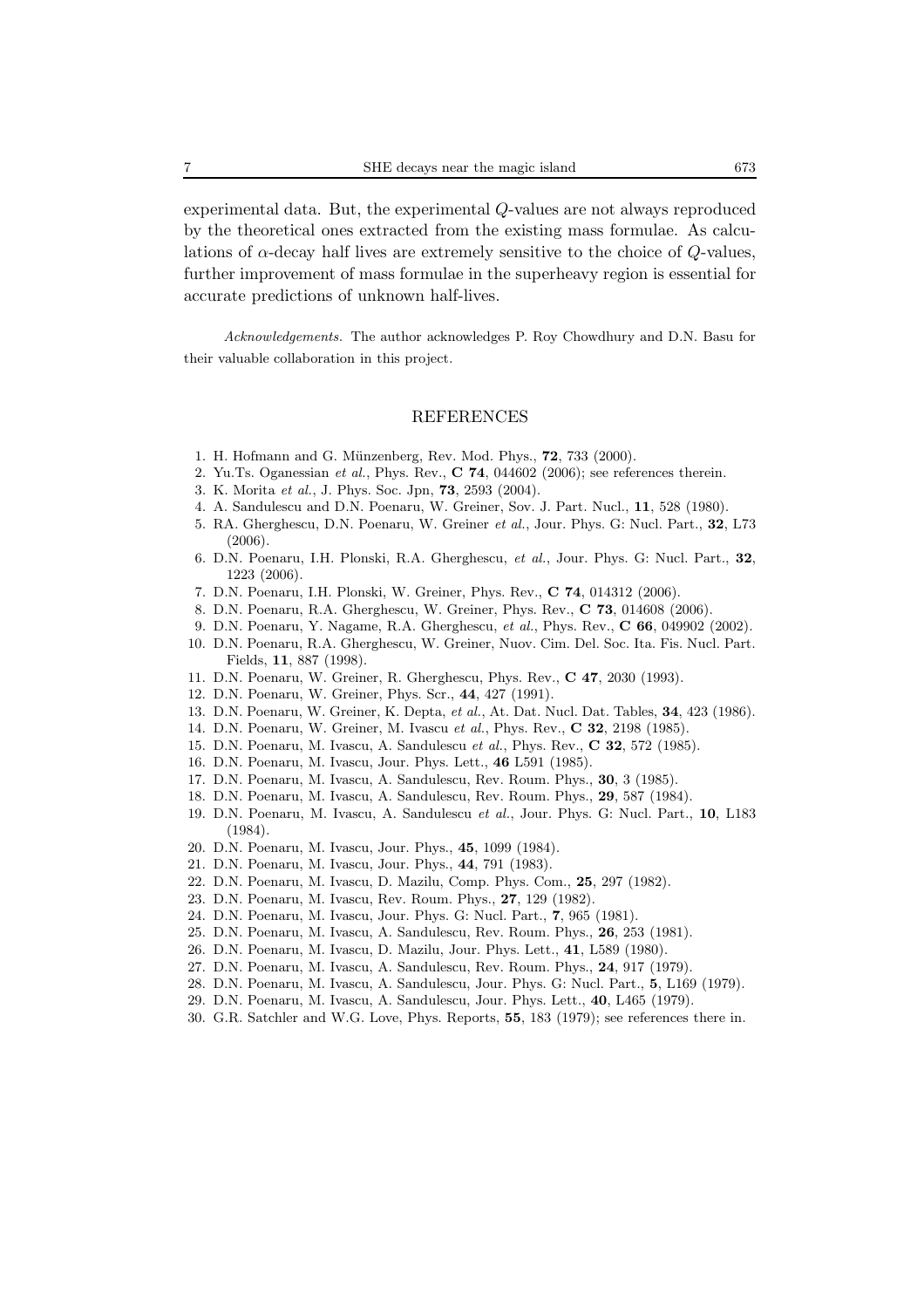experimental data. But, the experimental Q-values are not always reproduced by the theoretical ones extracted from the existing mass formulae. As calculations of  $\alpha$ -decay half lives are extremely sensitive to the choice of  $Q$ -values, further improvement of mass formulae in the superheavy region is essential for accurate predictions of unknown half-lives.

*Acknowledgements.* The author acknowledges P. Roy Chowdhury and D.N. Basu for their valuable collaboration in this project.

#### REFERENCES

- 1. H. Hofmann and G. M¨unzenberg, Rev. Mod. Phys., **72**, 733 (2000).
- 2. Yu.Ts. Oganessian *et al.*, Phys. Rev., **C 74**, 044602 (2006); see references therein.
- 3. K. Morita *et al.*, J. Phys. Soc. Jpn, **73**, 2593 (2004).
- 4. A. Sandulescu and D.N. Poenaru, W. Greiner, Sov. J. Part. Nucl., **11**, 528 (1980).
- 5. RA. Gherghescu, D.N. Poenaru, W. Greiner *et al.*, Jour. Phys. G: Nucl. Part., **32**, L73  $(2006)$ .
- 6. D.N. Poenaru, I.H. Plonski, R.A. Gherghescu, *et al.*, Jour. Phys. G: Nucl. Part., **32**, 1223 (2006).
- 7. D.N. Poenaru, I.H. Plonski, W. Greiner, Phys. Rev., **C 74**, 014312 (2006).
- 8. D.N. Poenaru, R.A. Gherghescu, W. Greiner, Phys. Rev., **C 73**, 014608 (2006).
- 9. D.N. Poenaru, Y. Nagame, R.A. Gherghescu, *et al.*, Phys. Rev., **C 66**, 049902 (2002).
- 10. D.N. Poenaru, R.A. Gherghescu, W. Greiner, Nuov. Cim. Del. Soc. Ita. Fis. Nucl. Part. Fields, **11**, 887 (1998).
- 11. D.N. Poenaru, W. Greiner, R. Gherghescu, Phys. Rev., **C 47**, 2030 (1993).
- 12. D.N. Poenaru, W. Greiner, Phys. Scr., **44**, 427 (1991).
- 13. D.N. Poenaru, W. Greiner, K. Depta, *et al.*, At. Dat. Nucl. Dat. Tables, **34**, 423 (1986).
- 14. D.N. Poenaru, W. Greiner, M. Ivascu *et al.*, Phys. Rev., **C 32**, 2198 (1985).
- 15. D.N. Poenaru, M. Ivascu, A. Sandulescu *et al.*, Phys. Rev., **C 32**, 572 (1985).
- 16. D.N. Poenaru, M. Ivascu, Jour. Phys. Lett., **46** L591 (1985).
- 17. D.N. Poenaru, M. Ivascu, A. Sandulescu, Rev. Roum. Phys., **30**, 3 (1985).
- 18. D.N. Poenaru, M. Ivascu, A. Sandulescu, Rev. Roum. Phys., **29**, 587 (1984).
- 19. D.N. Poenaru, M. Ivascu, A. Sandulescu *et al.*, Jour. Phys. G: Nucl. Part., **10**, L183 (1984).
- 20. D.N. Poenaru, M. Ivascu, Jour. Phys., **45**, 1099 (1984).
- 21. D.N. Poenaru, M. Ivascu, Jour. Phys., **44**, 791 (1983).
- 22. D.N. Poenaru, M. Ivascu, D. Mazilu, Comp. Phys. Com., **25**, 297 (1982).
- 23. D.N. Poenaru, M. Ivascu, Rev. Roum. Phys., **27**, 129 (1982).
- 24. D.N. Poenaru, M. Ivascu, Jour. Phys. G: Nucl. Part., **7**, 965 (1981).
- 25. D.N. Poenaru, M. Ivascu, A. Sandulescu, Rev. Roum. Phys., **26**, 253 (1981).
- 26. D.N. Poenaru, M. Ivascu, D. Mazilu, Jour. Phys. Lett., **41**, L589 (1980).
- 27. D.N. Poenaru, M. Ivascu, A. Sandulescu, Rev. Roum. Phys., **24**, 917 (1979).
- 28. D.N. Poenaru, M. Ivascu, A. Sandulescu, Jour. Phys. G: Nucl. Part., **5**, L169 (1979).
- 29. D.N. Poenaru, M. Ivascu, A. Sandulescu, Jour. Phys. Lett., **40**, L465 (1979).
- 30. G.R. Satchler and W.G. Love, Phys. Reports, **55**, 183 (1979); see references there in.